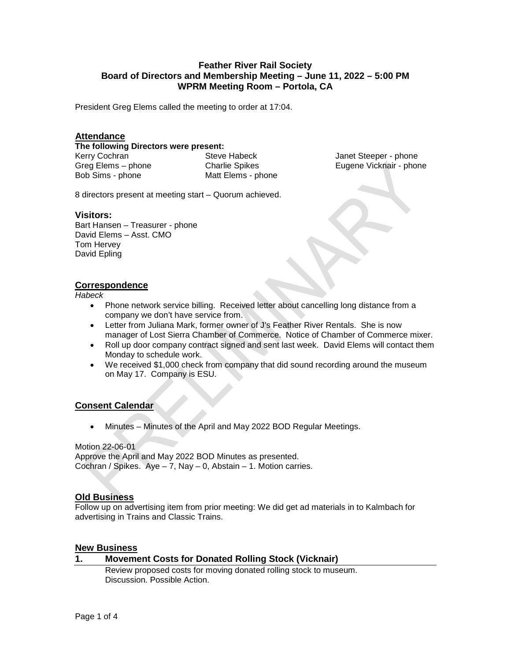## **Feather River Rail Society Board of Directors and Membership Meeting – June 11, 2022 – 5:00 PM WPRM Meeting Room – Portola, CA**

President Greg Elems called the meeting to order at 17:04.

### **Attendance**

#### **The following Directors were present:**

Kerry Cochran Greg Elems – phone Bob Sims - phone

Steve Habeck Charlie Spikes Matt Elems - phone

Janet Steeper - phone Eugene Vicknair - phone

8 directors present at meeting start – Quorum achieved.

#### **Visitors:**

Bart Hansen – Treasurer - phone David Elems – Asst. CMO Tom Hervey David Epling

### **Correspondence**

*Habeck*

- Phone network service billing. Received letter about cancelling long distance from a company we don't have service from.
- Letter from Juliana Mark, former owner of J's Feather River Rentals. She is now manager of Lost Sierra Chamber of Commerce. Notice of Chamber of Commerce mixer.
- Roll up door company contract signed and sent last week. David Elems will contact them Monday to schedule work.
- We received \$1,000 check from company that did sound recording around the museum on May 17. Company is ESU.

## **Consent Calendar**

• Minutes – Minutes of the April and May 2022 BOD Regular Meetings.

#### Motion 22-06-01 Approve the April and May 2022 BOD Minutes as presented. Cochran / Spikes.  $Aye - 7$ , Nay  $- 0$ , Abstain  $- 1$ . Motion carries.

## **Old Business**

Follow up on advertising item from prior meeting: We did get ad materials in to Kalmbach for advertising in Trains and Classic Trains.

#### **New Business**

# **1. Movement Costs for Donated Rolling Stock (Vicknair)**

Review proposed costs for moving donated rolling stock to museum. Discussion. Possible Action.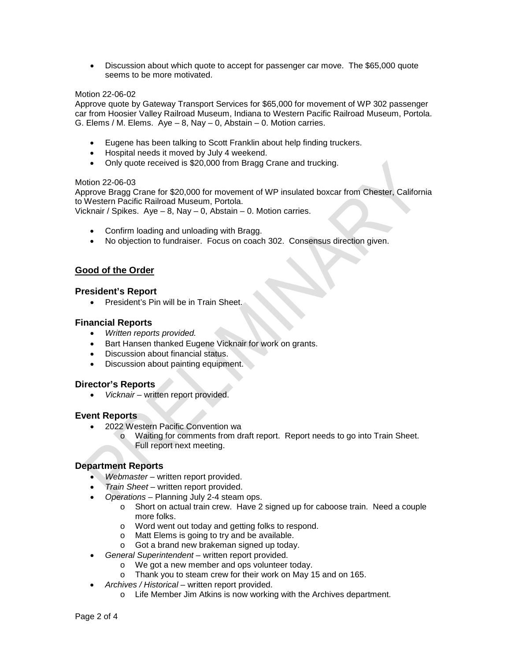• Discussion about which quote to accept for passenger car move. The \$65,000 quote seems to be more motivated.

### Motion 22-06-02

Approve quote by Gateway Transport Services for \$65,000 for movement of WP 302 passenger car from Hoosier Valley Railroad Museum, Indiana to Western Pacific Railroad Museum, Portola. G. Elems / M. Elems.  $Aye - 8$ , Nay  $- 0$ , Abstain  $- 0$ . Motion carries.

- Eugene has been talking to Scott Franklin about help finding truckers.
- Hospital needs it moved by July 4 weekend.
- Only quote received is \$20,000 from Bragg Crane and trucking.

#### Motion 22-06-03

Approve Bragg Crane for \$20,000 for movement of WP insulated boxcar from Chester, California to Western Pacific Railroad Museum, Portola.

Vicknair / Spikes. Aye – 8, Nay – 0, Abstain – 0. Motion carries.

- Confirm loading and unloading with Bragg.
- No objection to fundraiser. Focus on coach 302. Consensus direction given.

## **Good of the Order**

### **President's Report**

• President's Pin will be in Train Sheet.

## **Financial Reports**

- *Written reports provided.*
- Bart Hansen thanked Eugene Vicknair for work on grants.
- Discussion about financial status.
- Discussion about painting equipment.

## **Director's Reports**

• *Vicknair –* written report provided.

## **Event Reports**

- 2022 Western Pacific Convention wa
	- o Waiting for comments from draft report. Report needs to go into Train Sheet. Full report next meeting.

## **Department Reports**

- *Webmaster* written report provided.
- *Train Sheet* written report provided.
- *Operations*  Planning July 2-4 steam ops.
	- o Short on actual train crew. Have 2 signed up for caboose train. Need a couple more folks.
	- o Word went out today and getting folks to respond.
	- o Matt Elems is going to try and be available.
	- o Got a brand new brakeman signed up today.
- *General Superintendent*  written report provided.
	- o We got a new member and ops volunteer today.
	- o Thank you to steam crew for their work on May 15 and on 165.
- *Archives / Historical* written report provided.
	- o Life Member Jim Atkins is now working with the Archives department.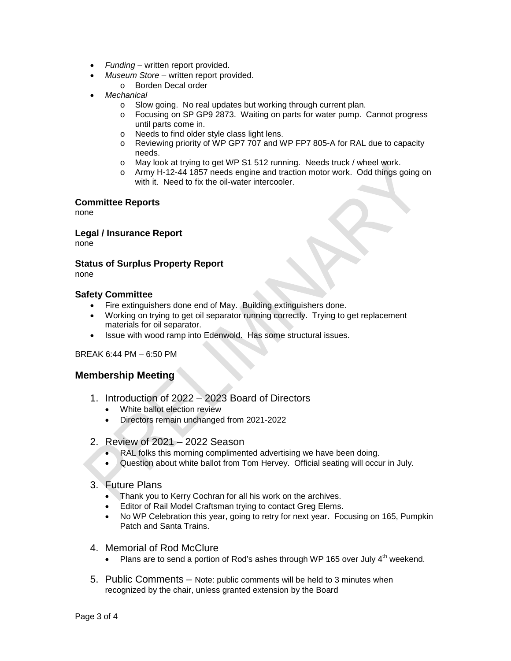- *Funding*  written report provided.
- *Museum Store* written report provided.
	- o Borden Decal order
- *Mechanical* 
	- o Slow going. No real updates but working through current plan.<br>
	o Focusing on SP GP9 2873. Waiting on parts for water pump. (
	- Focusing on SP GP9 2873. Waiting on parts for water pump. Cannot progress until parts come in.
	- o Needs to find older style class light lens.
	- o Reviewing priority of WP GP7 707 and WP FP7 805-A for RAL due to capacity needs.
	- o May look at trying to get WP S1 512 running. Needs truck / wheel work.
	- o Army H-12-44 1857 needs engine and traction motor work. Odd things going on with it. Need to fix the oil-water intercooler.

## **Committee Reports**

none

**Legal / Insurance Report**

none

#### **Status of Surplus Property Report** none

## **Safety Committee**

- Fire extinguishers done end of May. Building extinguishers done.
- Working on trying to get oil separator running correctly. Trying to get replacement materials for oil separator.
- Issue with wood ramp into Edenwold. Has some structural issues.

BREAK 6:44 PM – 6:50 PM

## **Membership Meeting**

- 1. Introduction of 2022 2023 Board of Directors
	- White ballot election review
	- Directors remain unchanged from 2021-2022
- 2. Review of 2021 2022 Season
	- RAL folks this morning complimented advertising we have been doing.
	- Question about white ballot from Tom Hervey. Official seating will occur in July.
- 3. Future Plans
	- Thank you to Kerry Cochran for all his work on the archives.
	- Editor of Rail Model Craftsman trying to contact Greg Elems.
	- No WP Celebration this year, going to retry for next year. Focusing on 165, Pumpkin Patch and Santa Trains.
- 4. Memorial of Rod McClure
	- Plans are to send a portion of Rod's ashes through WP 165 over July  $4<sup>th</sup>$  weekend.
- 5. Public Comments Note: public comments will be held to 3 minutes when recognized by the chair, unless granted extension by the Board